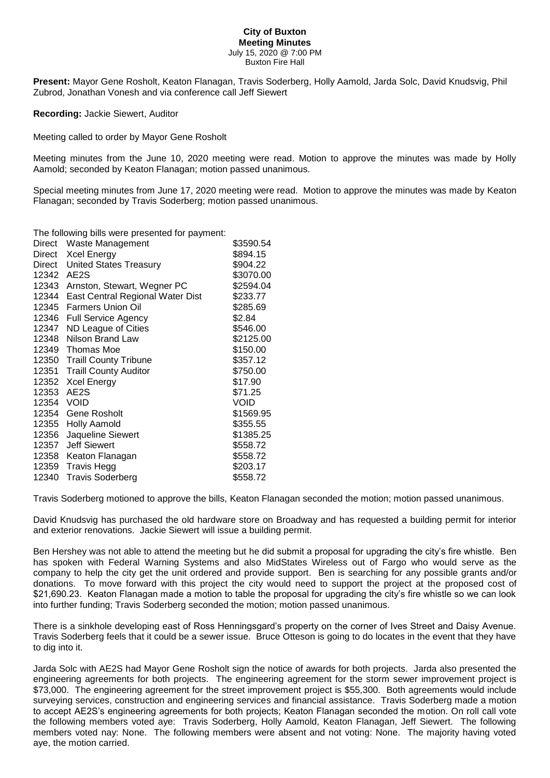## **City of Buxton Meeting Minutes** July 15, 2020 @ 7:00 PM Buxton Fire Hall

**Present:** Mayor Gene Rosholt, Keaton Flanagan, Travis Soderberg, Holly Aamold, Jarda Solc, David Knudsvig, Phil Zubrod, Jonathan Vonesh and via conference call Jeff Siewert

**Recording:** Jackie Siewert, Auditor

Meeting called to order by Mayor Gene Rosholt

Meeting minutes from the June 10, 2020 meeting were read. Motion to approve the minutes was made by Holly Aamold; seconded by Keaton Flanagan; motion passed unanimous.

Special meeting minutes from June 17, 2020 meeting were read. Motion to approve the minutes was made by Keaton Flanagan; seconded by Travis Soderberg; motion passed unanimous.

The following bills were presented for payment:

| <b>Direct</b> | Waste Management                 | \$3590.54 |
|---------------|----------------------------------|-----------|
| Direct        | <b>Xcel Energy</b>               | \$894.15  |
| Direct        | <b>United States Treasury</b>    | \$904.22  |
| 12342         | AE2S                             | \$3070.00 |
| 12343         | Arnston, Stewart, Wegner PC      | \$2594.04 |
| 12344         | East Central Regional Water Dist | \$233.77  |
| 12345         | <b>Farmers Union Oil</b>         | \$285.69  |
| 12346         | <b>Full Service Agency</b>       | \$2.84    |
| 12347         | ND League of Cities              | \$546.00  |
| 12348         | Nilson Brand Law                 | \$2125.00 |
| 12349         | Thomas Moe                       | \$150.00  |
|               | 12350 Traill County Tribune      | \$357.12  |
| 12351         | <b>Traill County Auditor</b>     | \$750.00  |
| 12352         | <b>Xcel Energy</b>               | \$17.90   |
| 12353         | AE2S                             | \$71.25   |
| 12354         | VOID                             | VOID      |
| 12354         | Gene Rosholt                     | \$1569.95 |
| 12355         | <b>Holly Aamold</b>              | \$355.55  |
| 12356         | Jaqueline Siewert                | \$1385.25 |
| 12357         | <b>Jeff Siewert</b>              | \$558.72  |
| 12358         | Keaton Flanagan                  | \$558.72  |
| 12359         | <b>Travis Hegg</b>               | \$203.17  |
| 12340         | <b>Travis Soderberg</b>          | \$558.72  |

Travis Soderberg motioned to approve the bills, Keaton Flanagan seconded the motion; motion passed unanimous.

David Knudsvig has purchased the old hardware store on Broadway and has requested a building permit for interior and exterior renovations. Jackie Siewert will issue a building permit.

Ben Hershey was not able to attend the meeting but he did submit a proposal for upgrading the city's fire whistle. Ben has spoken with Federal Warning Systems and also MidStates Wireless out of Fargo who would serve as the company to help the city get the unit ordered and provide support. Ben is searching for any possible grants and/or donations. To move forward with this project the city would need to support the project at the proposed cost of \$21,690.23. Keaton Flanagan made a motion to table the proposal for upgrading the city's fire whistle so we can look into further funding; Travis Soderberg seconded the motion; motion passed unanimous.

There is a sinkhole developing east of Ross Henningsgard's property on the corner of Ives Street and Daisy Avenue. Travis Soderberg feels that it could be a sewer issue. Bruce Otteson is going to do locates in the event that they have to dig into it.

Jarda Solc with AE2S had Mayor Gene Rosholt sign the notice of awards for both projects. Jarda also presented the engineering agreements for both projects. The engineering agreement for the storm sewer improvement project is \$73,000. The engineering agreement for the street improvement project is \$55,300. Both agreements would include surveying services, construction and engineering services and financial assistance. Travis Soderberg made a motion to accept AE2S's engineering agreements for both projects; Keaton Flanagan seconded the motion. On roll call vote the following members voted aye: Travis Soderberg, Holly Aamold, Keaton Flanagan, Jeff Siewert. The following members voted nay: None. The following members were absent and not voting: None. The majority having voted aye, the motion carried.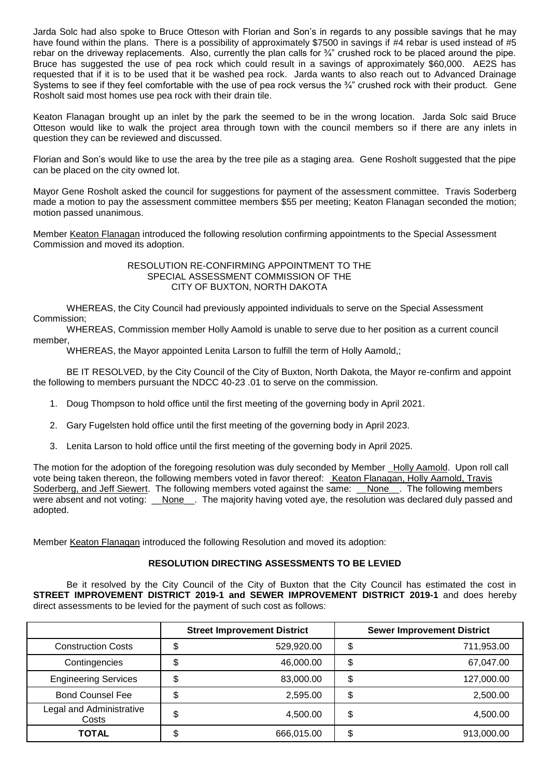Jarda Solc had also spoke to Bruce Otteson with Florian and Son's in regards to any possible savings that he may have found within the plans. There is a possibility of approximately \$7500 in savings if #4 rebar is used instead of #5 rebar on the driveway replacements. Also, currently the plan calls for  $\frac{3}{4}$ " crushed rock to be placed around the pipe. Bruce has suggested the use of pea rock which could result in a savings of approximately \$60,000. AE2S has requested that if it is to be used that it be washed pea rock. Jarda wants to also reach out to Advanced Drainage Systems to see if they feel comfortable with the use of pea rock versus the ¼" crushed rock with their product. Gene Rosholt said most homes use pea rock with their drain tile.

Keaton Flanagan brought up an inlet by the park the seemed to be in the wrong location. Jarda Solc said Bruce Otteson would like to walk the project area through town with the council members so if there are any inlets in question they can be reviewed and discussed.

Florian and Son's would like to use the area by the tree pile as a staging area. Gene Rosholt suggested that the pipe can be placed on the city owned lot.

Mayor Gene Rosholt asked the council for suggestions for payment of the assessment committee. Travis Soderberg made a motion to pay the assessment committee members \$55 per meeting; Keaton Flanagan seconded the motion; motion passed unanimous.

Member Keaton Flanagan introduced the following resolution confirming appointments to the Special Assessment Commission and moved its adoption.

> RESOLUTION RE-CONFIRMING APPOINTMENT TO THE SPECIAL ASSESSMENT COMMISSION OF THE CITY OF BUXTON, NORTH DAKOTA

WHEREAS, the City Council had previously appointed individuals to serve on the Special Assessment Commission;

WHEREAS, Commission member Holly Aamold is unable to serve due to her position as a current council member,

WHEREAS, the Mayor appointed Lenita Larson to fulfill the term of Holly Aamold,;

BE IT RESOLVED, by the City Council of the City of Buxton, North Dakota, the Mayor re-confirm and appoint the following to members pursuant the NDCC 40-23 .01 to serve on the commission.

- 1. Doug Thompson to hold office until the first meeting of the governing body in April 2021.
- 2. Gary Fugelsten hold office until the first meeting of the governing body in April 2023.
- 3. Lenita Larson to hold office until the first meeting of the governing body in April 2025.

The motion for the adoption of the foregoing resolution was duly seconded by Member \_Holly Aamold. Upon roll call vote being taken thereon, the following members voted in favor thereof: Keaton Flanagan, Holly Aamold, Travis Soderberg, and Jeff Siewert. The following members voted against the same: \_None\_. The following members were absent and not voting: *\_\_None\_\_\_*. The majority having voted aye, the resolution was declared duly passed and adopted.

Member Keaton Flanagan introduced the following Resolution and moved its adoption:

## **RESOLUTION DIRECTING ASSESSMENTS TO BE LEVIED**

Be it resolved by the City Council of the City of Buxton that the City Council has estimated the cost in **STREET IMPROVEMENT DISTRICT 2019-1 and SEWER IMPROVEMENT DISTRICT 2019-1** and does hereby direct assessments to be levied for the payment of such cost as follows:

|                                   |    | <b>Street Improvement District</b> |        | <b>Sewer Improvement District</b> |
|-----------------------------------|----|------------------------------------|--------|-----------------------------------|
| <b>Construction Costs</b>         | Φ  | 529,920.00                         | \$     | 711,953.00                        |
| Contingencies                     | \$ | 46,000.00                          | \$     | 67,047.00                         |
| <b>Engineering Services</b>       | \$ | 83,000.00                          | \$     | 127,000.00                        |
| <b>Bond Counsel Fee</b>           | \$ | 2.595.00                           | Φ      | 2,500.00                          |
| Legal and Administrative<br>Costs | \$ | 4,500.00                           | \$     | 4,500.00                          |
| <b>TOTAL</b>                      | \$ | 666,015.00                         | ጥ<br>Φ | 913,000.00                        |